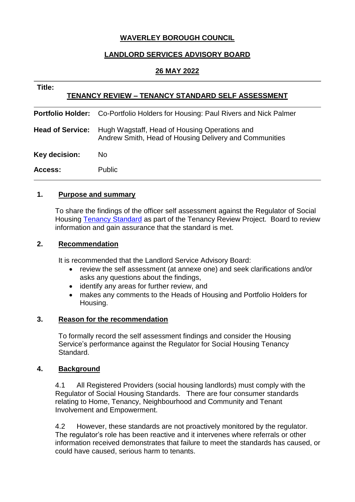# **WAVERLEY BOROUGH COUNCIL**

# **LANDLORD SERVICES ADVISORY BOARD**

## **26 MAY 2022**

| Title:<br><b>TENANCY REVIEW - TENANCY STANDARD SELF ASSESSMENT</b> |                                                                                                         |
|--------------------------------------------------------------------|---------------------------------------------------------------------------------------------------------|
| <b>Portfolio Holder:</b>                                           | Co-Portfolio Holders for Housing: Paul Rivers and Nick Palmer                                           |
| <b>Head of Service:</b>                                            | Hugh Wagstaff, Head of Housing Operations and<br>Andrew Smith, Head of Housing Delivery and Communities |
| Key decision:                                                      | No.                                                                                                     |
| Access:                                                            | <b>Public</b>                                                                                           |

## **1. Purpose and summary**

To share the findings of the officer self assessment against the Regulator of Social Housing [Tenancy Standard](https://www.gov.uk/government/publications/tenancy-standard) as part of the Tenancy Review Project. Board to review information and gain assurance that the standard is met.

## **2. Recommendation**

It is recommended that the Landlord Service Advisory Board:

- review the self assessment (at annexe one) and seek clarifications and/or asks any questions about the findings,
- identify any areas for further review, and
- makes any comments to the Heads of Housing and Portfolio Holders for Housing.

## **3. Reason for the recommendation**

To formally record the self assessment findings and consider the Housing Service's performance against the Regulator for Social Housing Tenancy Standard.

#### **4. Background**

4.1 All Registered Providers (social housing landlords) must comply with the Regulator of Social Housing Standards. There are four consumer standards relating to Home, Tenancy, Neighbourhood and Community and Tenant Involvement and Empowerment.

4.2 However, these standards are not proactively monitored by the regulator. The regulator's role has been reactive and it intervenes where referrals or other information received demonstrates that failure to meet the standards has caused, or could have caused, serious harm to tenants.